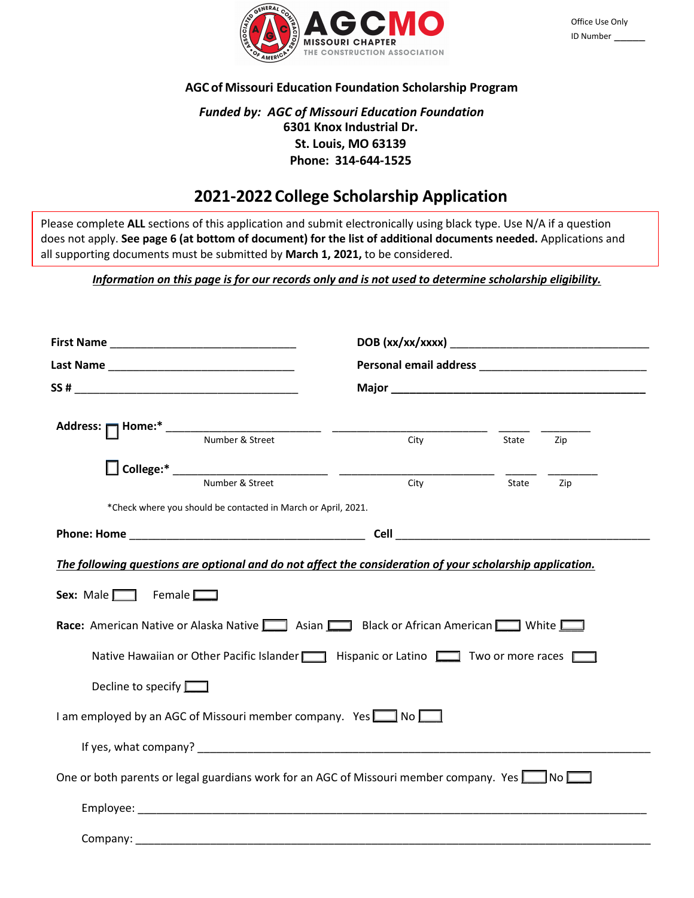

## **AGC of Missouri Education Foundation Scholarship Program**

# *Funded by: AGC of Missouri Education Foundation* **6301 Knox Industrial Dr. St. Louis, MO 63139 Phone: 314-644-1525**

# **2021-2022College Scholarship Application**

Please complete **ALL** sections of this application and submit electronically using black type. Use N/A if a question does not apply. **See page 6 (at bottom of document) for the list of additional documents needed.** Applications and all supporting documents must be submitted by **March 1, 2021,** to be considered.

*Information on this page is for our records only and is not used to determine scholarship eligibility.*

|                                                                                                                            | $\frac{1}{\text{City}}$ | State | Zip |
|----------------------------------------------------------------------------------------------------------------------------|-------------------------|-------|-----|
|                                                                                                                            |                         |       |     |
| Number & Street                                                                                                            | City                    | State | Zip |
| *Check where you should be contacted in March or April, 2021.                                                              |                         |       |     |
|                                                                                                                            |                         |       |     |
| Race: American Native or Alaska Native   Asian   Black or African American   White<br>Decline to specify $\Box$            |                         |       |     |
| I am employed by an AGC of Missouri member company. Yes $\Box$ No $\Box$                                                   |                         |       |     |
|                                                                                                                            |                         |       |     |
| One or both parents or legal guardians work for an AGC of Missouri member company. Yes <b>No Report A</b> No <b>Report</b> |                         |       |     |
|                                                                                                                            |                         |       |     |
| Company:                                                                                                                   |                         |       |     |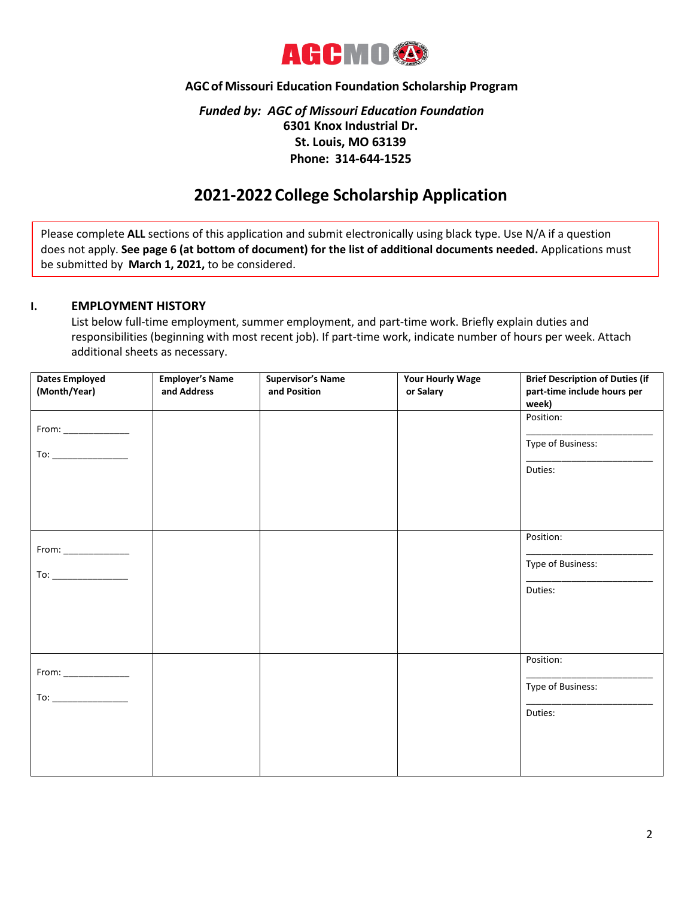

## **AGC of Missouri Education Foundation Scholarship Program**

# *Funded by: AGC of Missouri Education Foundation* **6301 Knox Industrial Dr. St. Louis, MO 63139 Phone: 314-644-1525**

# **2021-2022College Scholarship Application**

Please complete **ALL** sections of this application and submit electronically using black type. Use N/A if a question does not apply. **See page 6 (at bottom of document) for the list of additional documents needed.** Applications must be submitted by **March 1, 2021,** to be considered.

## **I. EMPLOYMENT HISTORY**

List below full-time employment, summer employment, and part-time work. Briefly explain duties and responsibilities (beginning with most recent job). If part-time work, indicate number of hours per week. Attach additional sheets as necessary.

| <b>Dates Employed</b><br>(Month/Year)                                                                                                                                                                                                                                                                                                               | <b>Employer's Name</b><br>and Address | <b>Supervisor's Name</b><br>and Position | <b>Your Hourly Wage</b><br>or Salary | <b>Brief Description of Duties (if</b><br>part-time include hours per<br>week) |
|-----------------------------------------------------------------------------------------------------------------------------------------------------------------------------------------------------------------------------------------------------------------------------------------------------------------------------------------------------|---------------------------------------|------------------------------------------|--------------------------------------|--------------------------------------------------------------------------------|
|                                                                                                                                                                                                                                                                                                                                                     |                                       |                                          |                                      | Position:                                                                      |
| $\begin{picture}(20,20) \put(0,0){\line(1,0){10}} \put(15,0){\line(1,0){10}} \put(15,0){\line(1,0){10}} \put(15,0){\line(1,0){10}} \put(15,0){\line(1,0){10}} \put(15,0){\line(1,0){10}} \put(15,0){\line(1,0){10}} \put(15,0){\line(1,0){10}} \put(15,0){\line(1,0){10}} \put(15,0){\line(1,0){10}} \put(15,0){\line(1,0){10}} \put(15,0){\line(1$ |                                       |                                          |                                      | Type of Business:                                                              |
|                                                                                                                                                                                                                                                                                                                                                     |                                       |                                          |                                      | Duties:                                                                        |
|                                                                                                                                                                                                                                                                                                                                                     |                                       |                                          |                                      | Position:                                                                      |
| $From: ____________$                                                                                                                                                                                                                                                                                                                                |                                       |                                          |                                      | Type of Business:                                                              |
| $\begin{picture}(20,20) \put(0,0){\line(1,0){10}} \put(15,0){\line(1,0){10}} \put(15,0){\line(1,0){10}} \put(15,0){\line(1,0){10}} \put(15,0){\line(1,0){10}} \put(15,0){\line(1,0){10}} \put(15,0){\line(1,0){10}} \put(15,0){\line(1,0){10}} \put(15,0){\line(1,0){10}} \put(15,0){\line(1,0){10}} \put(15,0){\line(1,0){10}} \put(15,0){\line(1$ |                                       |                                          |                                      |                                                                                |
|                                                                                                                                                                                                                                                                                                                                                     |                                       |                                          |                                      | Duties:                                                                        |
|                                                                                                                                                                                                                                                                                                                                                     |                                       |                                          |                                      |                                                                                |
|                                                                                                                                                                                                                                                                                                                                                     |                                       |                                          |                                      |                                                                                |
|                                                                                                                                                                                                                                                                                                                                                     |                                       |                                          |                                      | Position:                                                                      |
|                                                                                                                                                                                                                                                                                                                                                     |                                       |                                          |                                      | Type of Business:                                                              |
|                                                                                                                                                                                                                                                                                                                                                     |                                       |                                          |                                      | Duties:                                                                        |
|                                                                                                                                                                                                                                                                                                                                                     |                                       |                                          |                                      |                                                                                |
|                                                                                                                                                                                                                                                                                                                                                     |                                       |                                          |                                      |                                                                                |
|                                                                                                                                                                                                                                                                                                                                                     |                                       |                                          |                                      |                                                                                |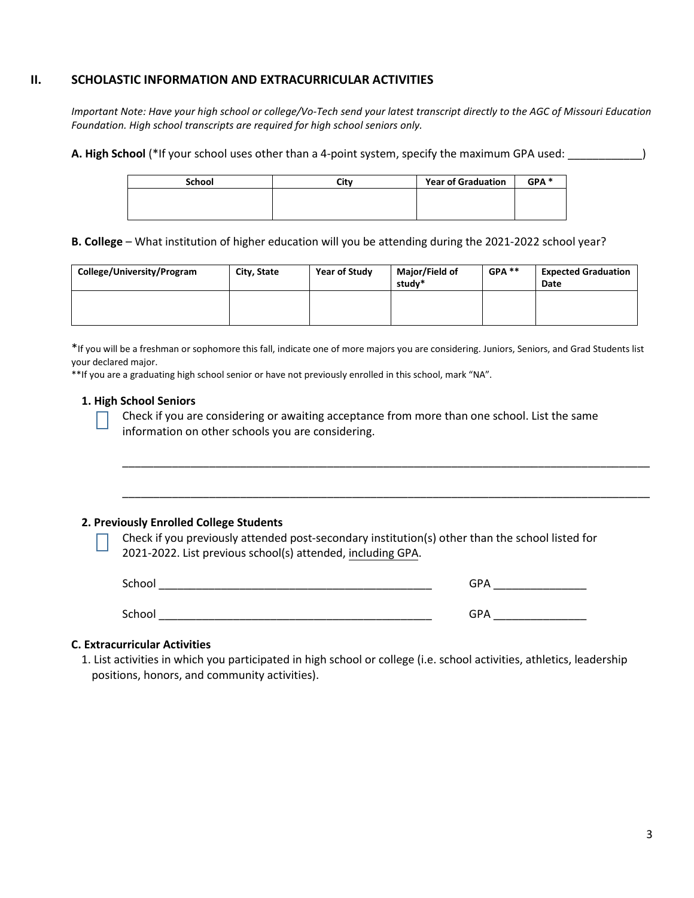## **II. SCHOLASTIC INFORMATION AND EXTRACURRICULAR ACTIVITIES**

*Important Note: Have your high school or college/Vo-Tech send your latest transcript directly to the AGC of Missouri Education Foundation. High school transcripts are required for high school seniors only.*

**A. High School** (\*If your school uses other than a 4-point system, specify the maximum GPA used: \_\_\_\_\_\_\_\_\_\_\_\_)

| <b>School</b> | City | <b>Year of Graduation</b> | GPA <sup>*</sup> |
|---------------|------|---------------------------|------------------|
|               |      |                           |                  |
|               |      |                           |                  |

**B. College** – What institution of higher education will you be attending during the 2021-2022 school year?

| College/University/Program | City, State | Year of Study | Major/Field of<br>studv* | $GPA$ ** | <b>Expected Graduation</b><br>Date |
|----------------------------|-------------|---------------|--------------------------|----------|------------------------------------|
|                            |             |               |                          |          |                                    |

\*If you will be a freshman or sophomore this fall, indicate one of more majors you are considering. Juniors, Seniors, and Grad Students list your declared major.

\*\*If you are a graduating high school senior or have not previously enrolled in this school, mark "NA".

### **1. High School Seniors**

Check if you are considering or awaiting acceptance from more than one school. List the same information on other schools you are considering.

\_\_\_\_\_\_\_\_\_\_\_\_\_\_\_\_\_\_\_\_\_\_\_\_\_\_\_\_\_\_\_\_\_\_\_\_\_\_\_\_\_\_\_\_\_\_\_\_\_\_\_\_\_\_\_\_\_\_\_\_\_\_\_\_\_\_\_\_\_\_\_\_\_\_\_\_\_\_\_\_\_\_\_\_\_

\_\_\_\_\_\_\_\_\_\_\_\_\_\_\_\_\_\_\_\_\_\_\_\_\_\_\_\_\_\_\_\_\_\_\_\_\_\_\_\_\_\_\_\_\_\_\_\_\_\_\_\_\_\_\_\_\_\_\_\_\_\_\_\_\_\_\_\_\_\_\_\_\_\_\_\_\_\_\_\_\_\_\_\_\_

#### **2. Previously Enrolled College Students**

Check if you previously attended post-secondary institution(s) other than the school listed for 2021-2022. List previous school(s) attended, including GPA.

| School | <b>GPA</b> |
|--------|------------|
| School | <b>GPA</b> |

#### **C. Extracurricular Activities**

1. List activities in which you participated in high school or college (i.e. school activities, athletics, leadership positions, honors, and community activities).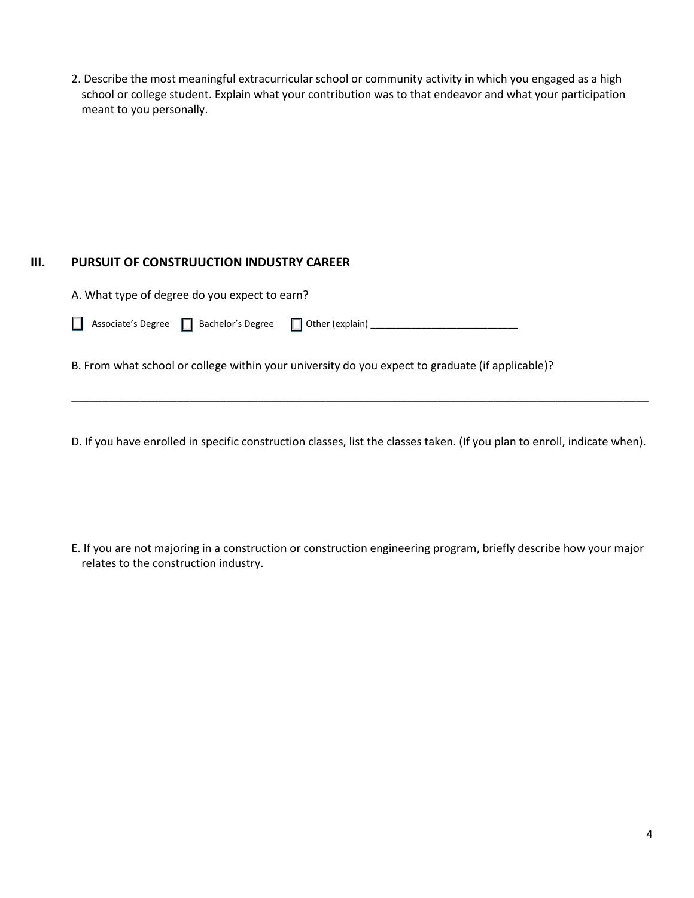2. Describe the most meaningful extracurricular school or community activity in which you engaged as a high school or college student. Explain what your contribution was to that endeavor and what your participation meant to you personally.

# **III. PURSUIT OF CONSTRUUCTION INDUSTRY CAREER**

| A. What type of degree do you expect to earn?            |  |  |
|----------------------------------------------------------|--|--|
| Associate's Degree   Bachelor's Degree   Other (explain) |  |  |

B. From what school or college within your university do you expect to graduate (if applicable)?

D. If you have enrolled in specific construction classes, list the classes taken. (If you plan to enroll, indicate when).

\_\_\_\_\_\_\_\_\_\_\_\_\_\_\_\_\_\_\_\_\_\_\_\_\_\_\_\_\_\_\_\_\_\_\_\_\_\_\_\_\_\_\_\_\_\_\_\_\_\_\_\_\_\_\_\_\_\_\_\_\_\_\_\_\_\_\_\_\_\_\_\_\_\_\_\_\_\_\_\_\_\_\_\_\_\_\_\_\_\_\_\_\_

E. If you are not majoring in a construction or construction engineering program, briefly describe how your major relates to the construction industry.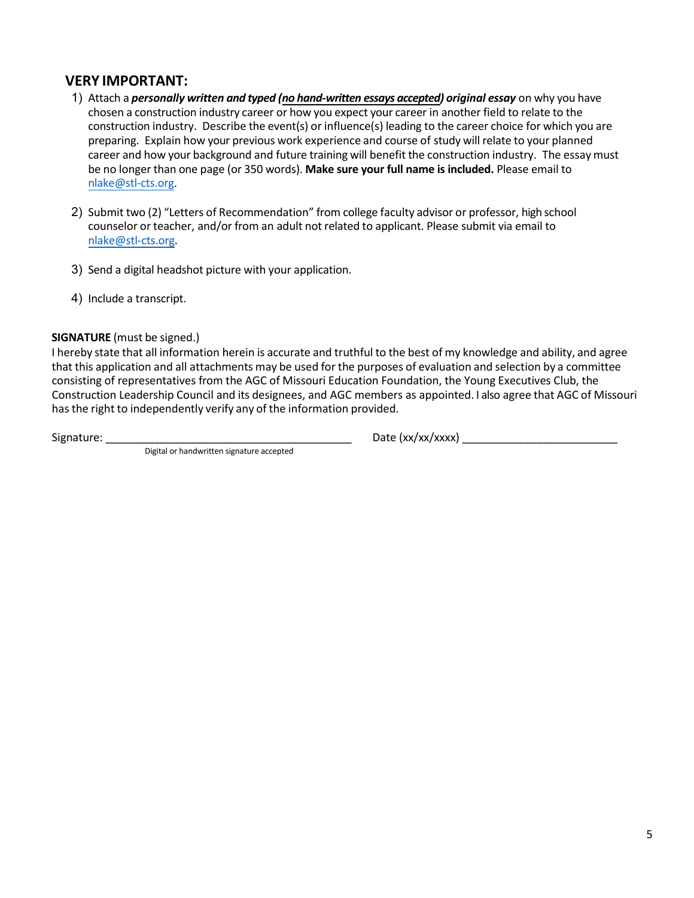# **VERY IMPORTANT:**

- 1) Attach a *personally written and typed (no hand-written essays accepted) original essay* on why you have chosen a construction industry career or how you expect your career in another field to relate to the construction industry. Describe the event(s) or influence(s) leading to the career choice for which you are preparing. Explain how your previous work experience and course of study will relate to your planned career and how your background and future training will benefit the construction industry. The essay must be no longer than one page (or 350 words). **Make sure your full name is included.** Please email to [nlake@stl-cts.org.](mailto:nlake@stl-cts.org)
- 2) Submit two (2) "Letters of Recommendation" from college faculty advisor or professor, high school counselor or teacher, and/or from an adult not related to applicant. Please submit via email to [nlake@stl-cts.org.](mailto:nlake@stl-cts.org)
- 3) Send a digital headshot picture with your application.
- 4) Include a transcript.

## **SIGNATURE** (must be signed.)

I hereby state that all information herein is accurate and truthful to the best of my knowledge and ability, and agree that this application and all attachments may be used for the purposes of evaluation and selection by a committee consisting of representatives from the AGC of Missouri Education Foundation, the Young Executives Club, the Construction Leadership Council and its designees, and AGC members as appointed. I also agree that AGC of Missouri has the right to independently verify any of the information provided.

Signature: \_\_\_\_\_\_\_\_\_\_\_\_\_\_\_\_\_\_\_\_\_\_\_\_\_\_\_\_\_\_\_\_\_\_\_\_\_\_\_\_ Date (xx/xx/xxxx) \_\_\_\_\_\_\_\_\_\_\_\_\_\_\_\_\_\_\_\_\_\_\_\_\_

Digital or handwritten signature accepted